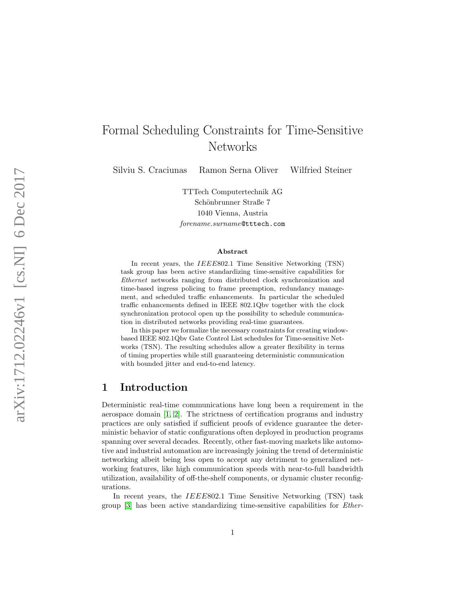# Formal Scheduling Constraints for Time-Sensitive Networks

Silviu S. Craciunas Ramon Serna Oliver Wilfried Steiner

TTTech Computertechnik AG Schönbrunner Straße 7 1040 Vienna, Austria forename.surname@tttech.com

#### Abstract

In recent years, the *IEEE*802.1 Time Sensitive Networking (TSN) task group has been active standardizing time-sensitive capabilities for Ethernet networks ranging from distributed clock synchronization and time-based ingress policing to frame preemption, redundancy management, and scheduled traffic enhancements. In particular the scheduled traffic enhancements defined in IEEE 802.1Qbv together with the clock synchronization protocol open up the possibility to schedule communication in distributed networks providing real-time guarantees.

In this paper we formalize the necessary constraints for creating windowbased IEEE 802.1Qbv Gate Control List schedules for Time-sensitive Networks (TSN). The resulting schedules allow a greater flexibility in terms of timing properties while still guaranteeing deterministic communication with bounded jitter and end-to-end latency.

#### 1 Introduction

Deterministic real-time communications have long been a requirement in the aerospace domain [\[1,](#page-10-0) [2\]](#page-10-1). The strictness of certification programs and industry practices are only satisfied if sufficient proofs of evidence guarantee the deterministic behavior of static configurations often deployed in production programs spanning over several decades. Recently, other fast-moving markets like automotive and industrial automation are increasingly joining the trend of deterministic networking albeit being less open to accept any detriment to generalized networking features, like high communication speeds with near-to-full bandwidth utilization, availability of off-the-shelf components, or dynamic cluster reconfigurations.

In recent years, the *IEEE*802.1 Time Sensitive Networking (TSN) task group [\[3\]](#page-10-2) has been active standardizing time-sensitive capabilities for Ether-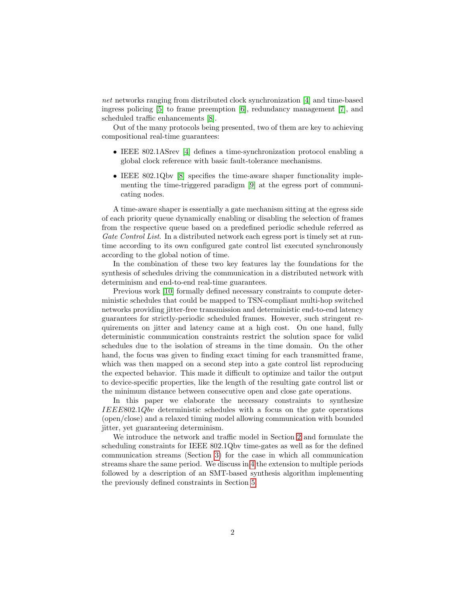net networks ranging from distributed clock synchronization [\[4\]](#page-10-3) and time-based ingress policing [\[5\]](#page-10-4) to frame preemption [\[6\]](#page-10-5), redundancy management [\[7\]](#page-10-6), and scheduled traffic enhancements [\[8\]](#page-10-7).

Out of the many protocols being presented, two of them are key to achieving compositional real-time guarantees:

- IEEE 802.1ASrev [\[4\]](#page-10-3) defines a time-synchronization protocol enabling a global clock reference with basic fault-tolerance mechanisms.
- IEEE 802.1Qbv [\[8\]](#page-10-7) specifies the time-aware shaper functionality implementing the time-triggered paradigm [\[9\]](#page-10-8) at the egress port of communicating nodes.

A time-aware shaper is essentially a gate mechanism sitting at the egress side of each priority queue dynamically enabling or disabling the selection of frames from the respective queue based on a predefined periodic schedule referred as Gate Control List. In a distributed network each egress port is timely set at runtime according to its own configured gate control list executed synchronously according to the global notion of time.

In the combination of these two key features lay the foundations for the synthesis of schedules driving the communication in a distributed network with determinism and end-to-end real-time guarantees.

Previous work [\[10\]](#page-11-0) formally defined necessary constraints to compute deterministic schedules that could be mapped to TSN-compliant multi-hop switched networks providing jitter-free transmission and deterministic end-to-end latency guarantees for strictly-periodic scheduled frames. However, such stringent requirements on jitter and latency came at a high cost. On one hand, fully deterministic communication constraints restrict the solution space for valid schedules due to the isolation of streams in the time domain. On the other hand, the focus was given to finding exact timing for each transmitted frame, which was then mapped on a second step into a gate control list reproducing the expected behavior. This made it difficult to optimize and tailor the output to device-specific properties, like the length of the resulting gate control list or the minimum distance between consecutive open and close gate operations.

In this paper we elaborate the necessary constraints to synthesize IEEE802.1Qbv deterministic schedules with a focus on the gate operations (open/close) and a relaxed timing model allowing communication with bounded jitter, yet guaranteeing determinism.

We introduce the network and traffic model in Section [2](#page-2-0) and formulate the scheduling constraints for IEEE 802.1Qbv time-gates as well as for the defined communication streams (Section [3\)](#page-3-0) for the case in which all communication streams share the same period. We discuss in [4](#page-8-0) the extension to multiple periods followed by a description of an SMT-based synthesis algorithm implementing the previously defined constraints in Section [5.](#page-9-0)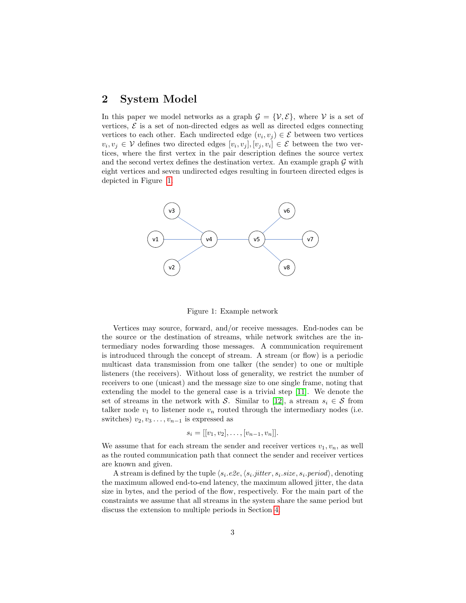#### <span id="page-2-0"></span>2 System Model

In this paper we model networks as a graph  $\mathcal{G} = \{\mathcal{V}, \mathcal{E}\}\$ , where  $\mathcal{V}$  is a set of vertices,  $\mathcal{E}$  is a set of non-directed edges as well as directed edges connecting vertices to each other. Each undirected edge  $(v_i, v_j) \in \mathcal{E}$  between two vertices  $v_i, v_j \in V$  defines two directed edges  $[v_i, v_j], [v_j, v_i] \in \mathcal{E}$  between the two vertices, where the first vertex in the pair description defines the source vertex and the second vertex defines the destination vertex. An example graph  $\mathcal G$  with eight vertices and seven undirected edges resulting in fourteen directed edges is depicted in Figure [1.](#page-2-1)



<span id="page-2-1"></span>Figure 1: Example network

Vertices may source, forward, and/or receive messages. End-nodes can be the source or the destination of streams, while network switches are the intermediary nodes forwarding those messages. A communication requirement is introduced through the concept of stream. A stream (or flow) is a periodic multicast data transmission from one talker (the sender) to one or multiple listeners (the receivers). Without loss of generality, we restrict the number of receivers to one (unicast) and the message size to one single frame, noting that extending the model to the general case is a trivial step [\[11\]](#page-11-1). We denote the set of streams in the network with S. Similar to [\[12\]](#page-11-2), a stream  $s_i \in S$  from talker node  $v_1$  to listener node  $v_n$  routed through the intermediary nodes (i.e. switches)  $v_2, v_3 \ldots, v_{n-1}$  is expressed as

$$
s_i = [[v_1, v_2], \dots, [v_{n-1}, v_n]].
$$

We assume that for each stream the sender and receiver vertices  $v_1, v_n$ , as well as the routed communication path that connect the sender and receiver vertices are known and given.

A stream is defined by the tuple  $\langle s_i.e2e, \langle s_i.jitter, s_i.size, s_i.period \rangle$ , denoting the maximum allowed end-to-end latency, the maximum allowed jitter, the data size in bytes, and the period of the flow, respectively. For the main part of the constraints we assume that all streams in the system share the same period but discuss the extension to multiple periods in Section [4.](#page-8-0)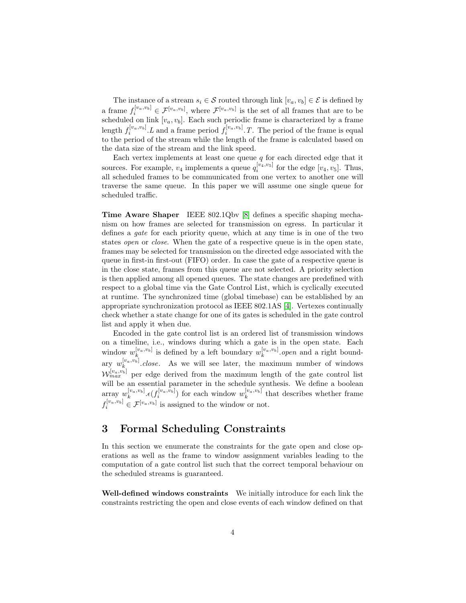The instance of a stream  $s_i \in \mathcal{S}$  routed through link  $[v_a, v_b] \in \mathcal{E}$  is defined by a frame  $f_i^{[v_a, v_b]} \in \mathcal{F}^{[v_a, v_b]}$ , where  $\mathcal{F}^{[v_a, v_b]}$  is the set of all frames that are to be scheduled on link  $[v_a, v_b]$ . Each such periodic frame is characterized by a frame length  $f_i^{[v_a, v_b]}$ . L and a frame period  $f_i^{[v_a, v_b]}$ . T. The period of the frame is equal to the period of the stream while the length of the frame is calculated based on the data size of the stream and the link speed.

Each vertex implements at least one queue  $q$  for each directed edge that it sources. For example,  $v_4$  implements a queue  $q_i^{[v_4, v_5]}$  for the edge  $[v_4, v_5]$ . Thus, all scheduled frames to be communicated from one vertex to another one will traverse the same queue. In this paper we will assume one single queue for scheduled traffic.

Time Aware Shaper IEEE 802.1Qbv [\[8\]](#page-10-7) defines a specific shaping mechanism on how frames are selected for transmission on egress. In particular it defines a gate for each priority queue, which at any time is in one of the two states open or close. When the gate of a respective queue is in the open state, frames may be selected for transmission on the directed edge associated with the queue in first-in first-out (FIFO) order. In case the gate of a respective queue is in the close state, frames from this queue are not selected. A priority selection is then applied among all opened queues. The state changes are predefined with respect to a global time via the Gate Control List, which is cyclically executed at runtime. The synchronized time (global timebase) can be established by an appropriate synchronization protocol as IEEE 802.1AS [\[4\]](#page-10-3). Vertexes continually check whether a state change for one of its gates is scheduled in the gate control list and apply it when due.

Encoded in the gate control list is an ordered list of transmission windows on a timeline, i.e., windows during which a gate is in the open state. Each window  $w_k^{[v_a, v_b]}$  is defined by a left boundary  $w_k^{[v_a, v_b]}$  open and a right boundary  $w_k^{[v_a, v_b]}$ .close. As we will see later, the maximum number of windows  $\mathcal{W}_{max}^{[v_a, v_b]}$  per edge derived from the maximum length of the gate control list will be an essential parameter in the schedule synthesis. We define a boolean array  $w_k^{[v_a, v_b]}$ . $\epsilon(f_i^{[v_a, v_b]})$  for each window  $w_k^{[v_a, v_b]}$  that describes whether frame  $f_i^{[v_a, v_b]} \in \mathcal{F}^{[v_a, v_b]}$  is assigned to the window or not.

### <span id="page-3-0"></span>3 Formal Scheduling Constraints

In this section we enumerate the constraints for the gate open and close operations as well as the frame to window assignment variables leading to the computation of a gate control list such that the correct temporal behaviour on the scheduled streams is guaranteed.

Well-defined windows constraints We initially introduce for each link the constraints restricting the open and close events of each window defined on that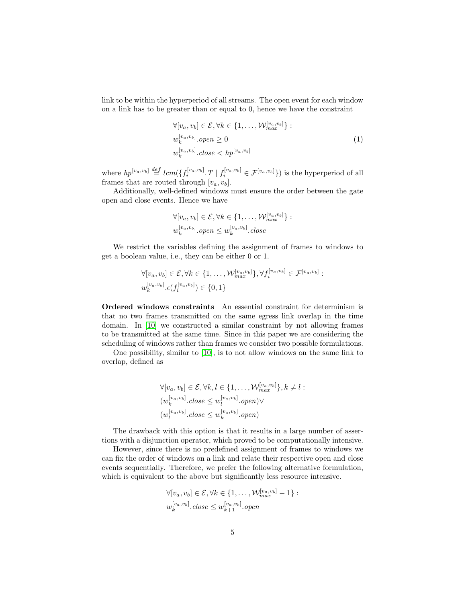link to be within the hyperperiod of all streams. The open event for each window on a link has to be greater than or equal to 0, hence we have the constraint

<span id="page-4-0"></span>
$$
\forall [v_a, v_b] \in \mathcal{E}, \forall k \in \{1, \dots, \mathcal{W}_{max}^{[v_a, v_b]}\}:
$$
  
\n
$$
w_k^{[v_a, v_b]} \cdot open \ge 0
$$
  
\n
$$
w_k^{[v_a, v_b]} \cdot close < hp^{[v_a, v_b]}
$$
\n
$$
(1)
$$

where  $hp^{[v_a, v_b]} \stackrel{def}{=} lcm(\{f_i^{[v_a, v_b]} \cdot T \mid f_i^{[v_a, v_b]} \in \mathcal{F}^{[v_a, v_b]}\})$  is the hyperperiod of all frames that are routed through  $[v_a, v_b]$ .

Additionally, well-defined windows must ensure the order between the gate open and close events. Hence we have

$$
\forall [v_a, v_b] \in \mathcal{E}, \forall k \in \{1, \dots, \mathcal{W}_{max}^{\{v_a, v_b\}}\} :
$$
  

$$
w_k^{\{v_a, v_b\}} . open \leq w_k^{\{v_a, v_b\}} . close
$$

We restrict the variables defining the assignment of frames to windows to get a boolean value, i.e., they can be either 0 or 1.

$$
\forall [v_a, v_b] \in \mathcal{E}, \forall k \in \{1, \dots, \mathcal{W}_{max}^{[v_a, v_b]}\}, \forall f_i^{[v_a, v_b]} \in \mathcal{F}^{[v_a, v_b]}:
$$
  

$$
w_k^{[v_a, v_b]} \cdot \epsilon(f_i^{[v_a, v_b]}) \in \{0, 1\}
$$

Ordered windows constraints An essential constraint for determinism is that no two frames transmitted on the same egress link overlap in the time domain. In [\[10\]](#page-11-0) we constructed a similar constraint by not allowing frames to be transmitted at the same time. Since in this paper we are considering the scheduling of windows rather than frames we consider two possible formulations.

One possibility, similar to [\[10\]](#page-11-0), is to not allow windows on the same link to overlap, defined as

$$
\forall [v_a, v_b] \in \mathcal{E}, \forall k, l \in \{1, ..., \mathcal{W}_{max}^{[v_a, v_b]}\}, k \neq l :
$$
  
\n
$$
(w_k^{[v_a, v_b]}.\text{close} \le w_l^{[v_a, v_b]}.\text{open}) \lor
$$
  
\n
$$
(w_l^{[v_a, v_b]}\text{close} \le w_k^{[v_a, v_b]}\text{open})
$$

The drawback with this option is that it results in a large number of assertions with a disjunction operator, which proved to be computationally intensive.

However, since there is no predefined assignment of frames to windows we can fix the order of windows on a link and relate their respective open and close events sequentially. Therefore, we prefer the following alternative formulation, which is equivalent to the above but significantly less resource intensive.

$$
\forall [v_a, v_b] \in \mathcal{E}, \forall k \in \{1, \dots, \mathcal{W}_{max}^{[v_a, v_b]} - 1\}:
$$
  

$$
w_k^{[v_a, v_b]}.\mathit{close} \leq w_{k+1}^{[v_a, v_b]}.\mathit{open}
$$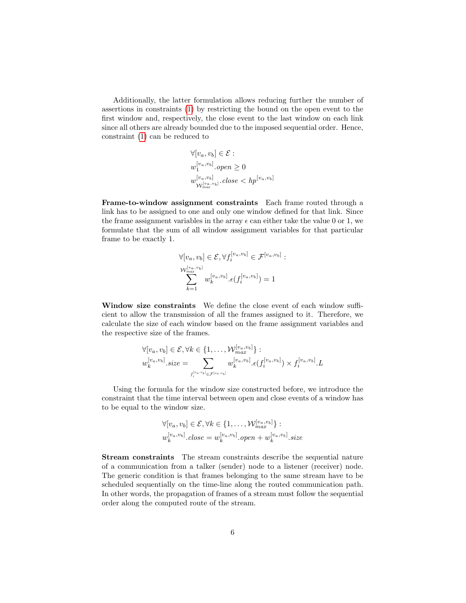Additionally, the latter formulation allows reducing further the number of assertions in constraints [\(1\)](#page-4-0) by restricting the bound on the open event to the first window and, respectively, the close event to the last window on each link since all others are already bounded due to the imposed sequential order. Hence, constraint [\(1\)](#page-4-0) can be reduced to

$$
\forall [v_a, v_b] \in \mathcal{E}:
$$
  
\n
$$
w_1^{[v_a, v_b]} \cdot open \ge 0
$$
  
\n
$$
w_{\mathcal{W}_{max}^{[v_a, v_b]}}^{[v_a, v_b]} \cdot close < hp^{[v_a, v_b]}
$$

Frame-to-window assignment constraints Each frame routed through a link has to be assigned to one and only one window defined for that link. Since the frame assignment variables in the array  $\epsilon$  can either take the value 0 or 1, we formulate that the sum of all window assignment variables for that particular frame to be exactly 1.

$$
\forall [v_a, v_b] \in \mathcal{E}, \forall f_i^{[v_a, v_b]} \in \mathcal{F}^{[v_a, v_b]}:
$$
  

$$
\sum_{k=1}^{\mathbb{N}^{[v_a, v_b]}} w_k^{[v_a, v_b]} \cdot \epsilon(f_i^{[v_a, v_b]}) = 1
$$

Window size constraints We define the close event of each window sufficient to allow the transmission of all the frames assigned to it. Therefore, we calculate the size of each window based on the frame assignment variables and the respective size of the frames.

$$
\forall [v_a, v_b] \in \mathcal{E}, \forall k \in \{1, \dots, \mathcal{W}_{max}^{\{v_a, v_b\}}\} : \n w_k^{\{v_a, v_b\}} \cdot size = \sum_{f_i^{\{v_a, v_b\}} \in \mathcal{F}^{\{v_a, v_b\}} \cdot \epsilon(f_i^{\{v_a, v_b\}}) \times f_i^{\{v_a, v_b\}} \cdot L
$$

Using the formula for the window size constructed before, we introduce the constraint that the time interval between open and close events of a window has to be equal to the window size.

$$
\forall [v_a, v_b] \in \mathcal{E}, \forall k \in \{1, \dots, \mathcal{W}_{max}^{\{v_a, v_b\}}\} :
$$
  

$$
w_k^{\{v_a, v_b\}}.\mathit{close} = w_k^{\{v_a, v_b\}}.\mathit{open} + w_k^{\{v_a, v_b\}}.\mathit{size}
$$

Stream constraints The stream constraints describe the sequential nature of a communication from a talker (sender) node to a listener (receiver) node. The generic condition is that frames belonging to the same stream have to be scheduled sequentially on the time-line along the routed communication path. In other words, the propagation of frames of a stream must follow the sequential order along the computed route of the stream.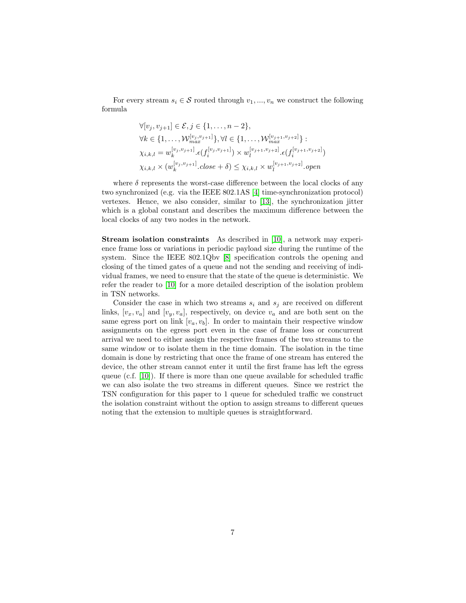For every stream  $s_i \in \mathcal{S}$  routed through  $v_1, ..., v_n$  we construct the following formula

$$
\forall [v_j, v_{j+1}] \in \mathcal{E}, j \in \{1, ..., n-2\},
$$
  
\n
$$
\forall k \in \{1, ..., \mathcal{W}_{max}^{[v_j, v_{j+1}]}\}, \forall l \in \{1, ..., \mathcal{W}_{max}^{[v_{j+1}, v_{j+2}]}\}:
$$
  
\n
$$
\chi_{i,k,l} = w_k^{[v_j, v_{j+1}]} \cdot \epsilon(f_i^{[v_j, v_{j+1}]}) \times w_l^{[v_{j+1}, v_{j+2}]} \cdot \epsilon(f_i^{[v_{j+1}, v_{j+2}]})
$$
  
\n
$$
\chi_{i,k,l} \times (w_k^{[v_j, v_{j+1}]} \cdot close + \delta) \leq \chi_{i,k,l} \times w_l^{[v_{j+1}, v_{j+2}]} \cdot open
$$

where  $\delta$  represents the worst-case difference between the local clocks of any two synchronized (e.g. via the IEEE 802.1AS [\[4\]](#page-10-3) time-synchronization protocol) vertexes. Hence, we also consider, similar to [\[13\]](#page-11-3), the synchronization jitter which is a global constant and describes the maximum difference between the local clocks of any two nodes in the network.

Stream isolation constraints As described in [\[10\]](#page-11-0), a network may experience frame loss or variations in periodic payload size during the runtime of the system. Since the IEEE 802.1Qbv [\[8\]](#page-10-7) specification controls the opening and closing of the timed gates of a queue and not the sending and receiving of individual frames, we need to ensure that the state of the queue is deterministic. We refer the reader to [\[10\]](#page-11-0) for a more detailed description of the isolation problem in TSN networks.

Consider the case in which two streams  $s_i$  and  $s_j$  are received on different links,  $[v_x, v_a]$  and  $[v_y, v_a]$ , respectively, on device  $v_a$  and are both sent on the same egress port on link  $[v_a, v_b]$ . In order to maintain their respective window assignments on the egress port even in the case of frame loss or concurrent arrival we need to either assign the respective frames of the two streams to the same window or to isolate them in the time domain. The isolation in the time domain is done by restricting that once the frame of one stream has entered the device, the other stream cannot enter it until the first frame has left the egress queue (c.f. [\[10\]](#page-11-0)). If there is more than one queue available for scheduled traffic we can also isolate the two streams in different queues. Since we restrict the TSN configuration for this paper to 1 queue for scheduled traffic we construct the isolation constraint without the option to assign streams to different queues noting that the extension to multiple queues is straightforward.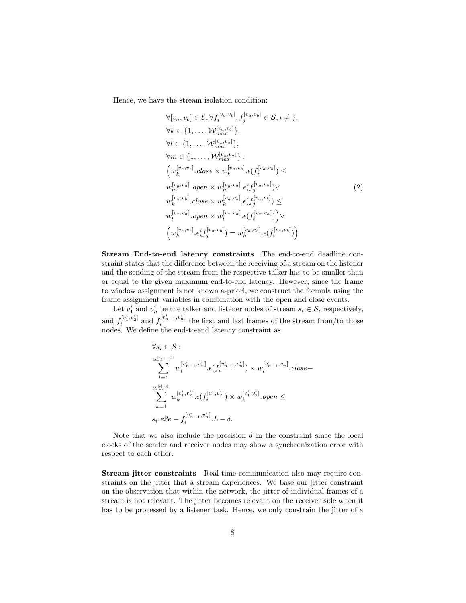Hence, we have the stream isolation condition:

$$
\forall [v_a, v_b] \in \mathcal{E}, \forall f_i^{[v_a, v_b]}, f_j^{[v_a, v_b]} \in \mathcal{S}, i \neq j,
$$
  
\n
$$
\forall k \in \{1, ..., \mathcal{W}_{max}^{[v_a, v_b]}\},
$$
  
\n
$$
\forall l \in \{1, ..., \mathcal{W}_{max}^{[v_a, v_a]}\},
$$
  
\n
$$
\forall m \in \{1, ..., \mathcal{W}_{max}^{[v_a, v_a]}\}:
$$
  
\n
$$
\left(w_k^{[v_a, v_b]} \cdot close \times w_k^{[v_a, v_b]} \cdot \epsilon(f_i^{[v_a, v_b]}) \leq
$$
  
\n
$$
w_m^{[v_y, v_a]} \cdot open \times w_m^{[v_y, v_a]} \cdot \epsilon(f_j^{[v_y, v_a]}) \vee
$$
  
\n
$$
w_k^{[v_a, v_b]} \cdot close \times w_k^{[v_a, v_b]} \cdot \epsilon(f_j^{[v_a, v_b]}) \leq
$$
  
\n
$$
w_l^{[v_x, v_a]} \cdot open \times w_l^{[v_x, v_a]} \cdot \epsilon(f_i^{[v_x, v_a]}) \vee
$$
  
\n
$$
\left(w_k^{[v_a, v_b]} \cdot \epsilon(f_j^{[v_a, v_b]}) = w_k^{[v_a, v_b]} \cdot \epsilon(f_i^{[v_a, v_b]}) \right)
$$

Stream End-to-end latency constraints The end-to-end deadline constraint states that the difference between the receiving of a stream on the listener and the sending of the stream from the respective talker has to be smaller than or equal to the given maximum end-to-end latency. However, since the frame to window assignment is not known a-priori, we construct the formula using the frame assignment variables in combination with the open and close events.

Let  $v_1^i$  and  $v_n^i$  be the talker and listener nodes of stream  $s_i \in \mathcal{S}$ , respectively, and  $f_i^{[v_1^i, v_2^i]}$  $[i]_i^{[v_1^i, v_2^i]}$  and  $f_i^{[v_{n-1}^i, v_n^i]}$  the first and last frames of the stream from/to those nodes. We define the end-to-end latency constraint as

$$
\forall s_i \in \mathcal{S}: \\
\sum_{l=1}^{\mathcal{W}_{max}^{[v_{n-1}^i, v_n^i]}} w_l^{[v_{n-1}^i, v_n^i]}.\epsilon(f_i^{[v_{n-1}^i, v_n^i]}) \times w_l^{[v_{n-1}^i, v_n^i]}.\mathit{close}- \\
\sum_{k=1}^{\mathcal{W}_{max}^{[v_1^i, v_2^i]}} w_k^{[v_1^i, v_2^i]}.\epsilon(f_i^{[v_1^i, v_2^i]}) \times w_k^{[v_1^i, v_2^i]}.\mathit{open} \leq \\
s_i.e2e - f_i^{[v_{n-1}^i, v_n^i]}.\mathit{L} - \delta.
$$

Note that we also include the precision  $\delta$  in the constraint since the local clocks of the sender and receiver nodes may show a synchronization error with respect to each other.

Stream jitter constraints Real-time communication also may require constraints on the jitter that a stream experiences. We base our jitter constraint on the observation that within the network, the jitter of individual frames of a stream is not relevant. The jitter becomes relevant on the receiver side when it has to be processed by a listener task. Hence, we only constrain the jitter of a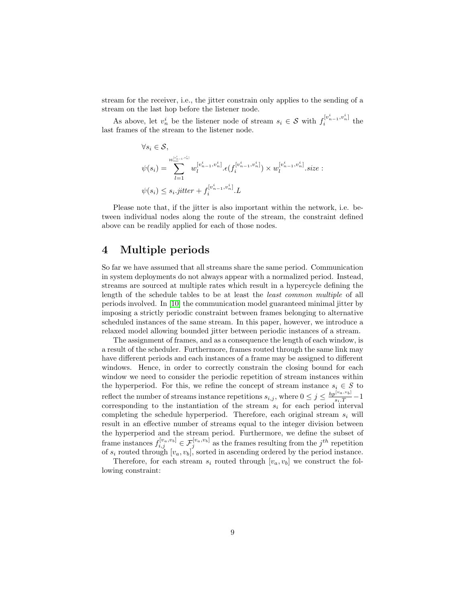stream for the receiver, i.e., the jitter constrain only applies to the sending of a stream on the last hop before the listener node.

As above, let  $v_n^i$  be the listener node of stream  $s_i \in \mathcal{S}$  with  $f_i^{[v_{n-1}^i, v_n^i]}$  the last frames of the stream to the listener node.

$$
\forall s_i \in \mathcal{S},
$$
  
\n
$$
\psi(s_i) = \sum_{l=1}^{\mathcal{W}_{m_{m-1}}^{[v_{n-1}^i, v_n^i]}} w_l^{[v_{n-1}^i, v_n^i]} \cdot \epsilon(f_i^{[v_{n-1}^i, v_n^i]}) \times w_l^{[v_{n-1}^i, v_n^i]} \cdot size:
$$
  
\n
$$
\psi(s_i) \leq s_i.jitter + f_i^{[v_{n-1}^i, v_n^i]} \cdot L
$$

Please note that, if the jitter is also important within the network, i.e. between individual nodes along the route of the stream, the constraint defined above can be readily applied for each of those nodes.

## <span id="page-8-0"></span>4 Multiple periods

So far we have assumed that all streams share the same period. Communication in system deployments do not always appear with a normalized period. Instead, streams are sourced at multiple rates which result in a hypercycle defining the length of the schedule tables to be at least the least common multiple of all periods involved. In [\[10\]](#page-11-0) the communication model guaranteed minimal jitter by imposing a strictly periodic constraint between frames belonging to alternative scheduled instances of the same stream. In this paper, however, we introduce a relaxed model allowing bounded jitter between periodic instances of a stream.

The assignment of frames, and as a consequence the length of each window, is a result of the scheduler. Furthermore, frames routed through the same link may have different periods and each instances of a frame may be assigned to different windows. Hence, in order to correctly constrain the closing bound for each window we need to consider the periodic repetition of stream instances within the hyperperiod. For this, we refine the concept of stream instance  $s_i \in S$  to reflect the number of streams instance repetitions  $s_{i,j}$ , where  $0 \leq j \leq \frac{hp^{[v_a, v_b]}}{s_i \cdot T} - 1$ corresponding to the instantiation of the stream  $s_i$  for each period interval completing the schedule hyperperiod. Therefore, each original stream  $s_i$  will result in an effective number of streams equal to the integer division between the hyperperiod and the stream period. Furthermore, we define the subset of frame instances  $f_{i,j}^{[v_a,v_b]} \in \mathcal{F}_j^{[v_a,v_b]}$  as the frames resulting from the  $j^{th}$  repetition of  $s_i$  routed through  $[v_a, v_b]$ , sorted in ascending ordered by the period instance.

Therefore, for each stream  $s_i$  routed through  $[v_a, v_b]$  we construct the following constraint: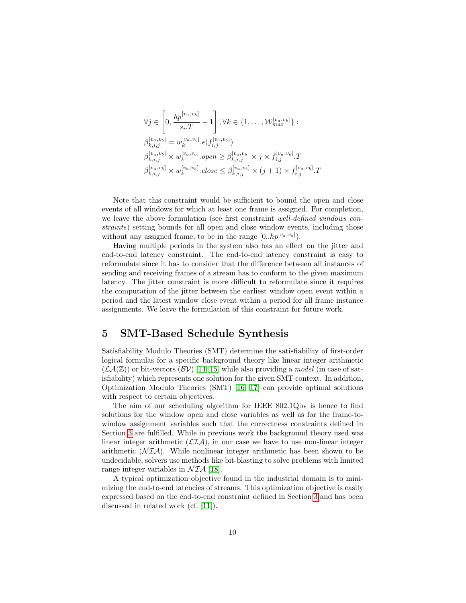$$
\forall j \in \left[0, \frac{hp^{[v_a, v_b]}}{s_i \cdot T} - 1\right], \forall k \in \{1, ..., \mathcal{W}_{max}^{[v_a, v_b]}\}:
$$
  

$$
\beta_{k,i,j}^{[v_a, v_b]} = w_k^{[v_a, v_b]} \cdot \epsilon(f_{i,j}^{[v_a, v_b]})
$$
  

$$
\beta_{k,i,j}^{[v_a, v_b]} \times w_k^{[v_a, v_b]} \cdot open \geq \beta_{k,i,j}^{[v_a, v_b]} \times j \times f_{i,j}^{[v_a, v_b]} \cdot T
$$
  

$$
\beta_{k,i,j}^{[v_a, v_b]} \times w_k^{[v_a, v_b]} \cdot close \leq \beta_{k,i,j}^{[v_a, v_b]} \times (j+1) \times f_{i,j}^{[v_a, v_b]} \cdot T
$$

Note that this constraint would be sufficient to bound the open and close events of all windows for which at least one frame is assigned. For completion, we leave the above formulation (see first constraint well-defined windows constraints) setting bounds for all open and close window events, including those without any assigned frame, to be in the range  $[0..hp^{[v_a,v_b]})$ .

Having multiple periods in the system also has an effect on the jitter and end-to-end latency constraint. The end-to-end latency constraint is easy to reformulate since it has to consider that the difference between all instances of sending and receiving frames of a stream has to conform to the given maximum latency. The jitter constraint is more difficult to reformulate since it requires the computation of the jitter between the earliest window open event within a period and the latest window close event within a period for all frame instance assignments. We leave the formulation of this constraint for future work.

#### <span id="page-9-0"></span>5 SMT-Based Schedule Synthesis

Satisfiability Modulo Theories (SMT) determine the satisfiability of first-order logical formulas for a specific background theory like linear integer arithmetic  $(\mathcal{LA}(\mathbb{Z}))$  or bit-vectors  $(\mathcal{BV})$  [\[14,](#page-11-4) [15\]](#page-11-5) while also providing a model (in case of satisfiability) which represents one solution for the given SMT context. In addition, Optimization Modulo Theories (SMT) [\[16,](#page-11-6) [17\]](#page-11-7) can provide optimal solutions with respect to certain objectives.

The aim of our scheduling algorithm for IEEE 802.1Qbv is hence to find solutions for the window open and close variables as well as for the frame-towindow assignment variables such that the correctness constraints defined in Section [3](#page-3-0) are fulfilled. While in previous work the background theory used was linear integer arithmetic  $(\mathcal{LIA})$ , in our case we have to use non-linear integer arithmetic  $(\mathcal{N} \mathcal{I} \mathcal{A})$ . While nonlinear integer arithmetic has been shown to be undecidable, solvers use methods like bit-blasting to solve problems with limited range integer variables in  $NIA$  [\[18\]](#page-11-8).

A typical optimization objective found in the industrial domain is to minimizing the end-to-end latencies of streams. This optimization objective is easily expressed based on the end-to-end constraint defined in Section [3](#page-3-0) and has been discussed in related work (cf. [\[11\]](#page-11-1)).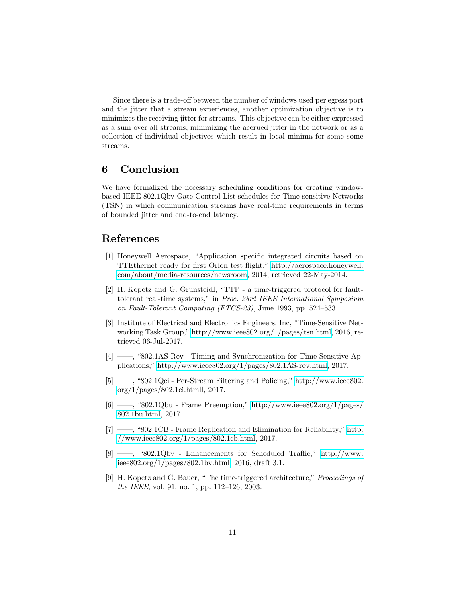Since there is a trade-off between the number of windows used per egress port and the jitter that a stream experiences, another optimization objective is to minimizes the receiving jitter for streams. This objective can be either expressed as a sum over all streams, minimizing the accrued jitter in the network or as a collection of individual objectives which result in local minima for some some streams.

# 6 Conclusion

We have formalized the necessary scheduling conditions for creating windowbased IEEE 802.1Qbv Gate Control List schedules for Time-sensitive Networks (TSN) in which communication streams have real-time requirements in terms of bounded jitter and end-to-end latency.

# References

- <span id="page-10-0"></span>[1] Honeywell Aerospace, "Application specific integrated circuits based on TTEthernet ready for first Orion test flight," [http://aerospace.honeywell.](http://aerospace.honeywell.com/about/media-resources/newsroom) [com/about/media-resources/newsroom,](http://aerospace.honeywell.com/about/media-resources/newsroom) 2014, retrieved 22-May-2014.
- <span id="page-10-1"></span>[2] H. Kopetz and G. Grunsteidl, "TTP - a time-triggered protocol for faulttolerant real-time systems," in Proc. 23rd IEEE International Symposium on Fault-Tolerant Computing (FTCS-23), June 1993, pp. 524–533.
- <span id="page-10-2"></span>[3] Institute of Electrical and Electronics Engineers, Inc, "Time-Sensitive Networking Task Group," [http://www.ieee802.org/1/pages/tsn.html,](http://www.ieee802.org/1/pages/tsn.html) 2016, retrieved 06-Jul-2017.
- <span id="page-10-3"></span>[4] ——, "802.1AS-Rev - Timing and Synchronization for Time-Sensitive Applications," [http://www.ieee802.org/1/pages/802.1AS-rev.html,](http://www.ieee802.org/1/pages/802.1AS-rev.html) 2017.
- <span id="page-10-4"></span>[5] ——, "802.1Qci - Per-Stream Filtering and Policing," [http://www.ieee802.](http://www.ieee802.org/1/pages/802.1ci.htmll) [org/1/pages/802.1ci.htmll,](http://www.ieee802.org/1/pages/802.1ci.htmll) 2017.
- <span id="page-10-5"></span>[6] ——, "802.1Qbu - Frame Preemption," [http://www.ieee802.org/1/pages/](http://www.ieee802.org/1/pages/802.1bu.html) [802.1bu.html,](http://www.ieee802.org/1/pages/802.1bu.html) 2017.
- <span id="page-10-6"></span>[7] ——, "802.1CB - Frame Replication and Elimination for Reliability," [http:](http://www.ieee802.org/1/pages/802.1cb.html) [//www.ieee802.org/1/pages/802.1cb.html,](http://www.ieee802.org/1/pages/802.1cb.html) 2017.
- <span id="page-10-7"></span>[8] ——, "802.1Qbv - Enhancements for Scheduled Traffic," [http://www.](http://www.ieee802.org/1/pages/802.1bv.html) [ieee802.org/1/pages/802.1bv.html,](http://www.ieee802.org/1/pages/802.1bv.html) 2016, draft 3.1.
- <span id="page-10-8"></span>[9] H. Kopetz and G. Bauer, "The time-triggered architecture," Proceedings of the IEEE, vol. 91, no. 1, pp. 112–126, 2003.